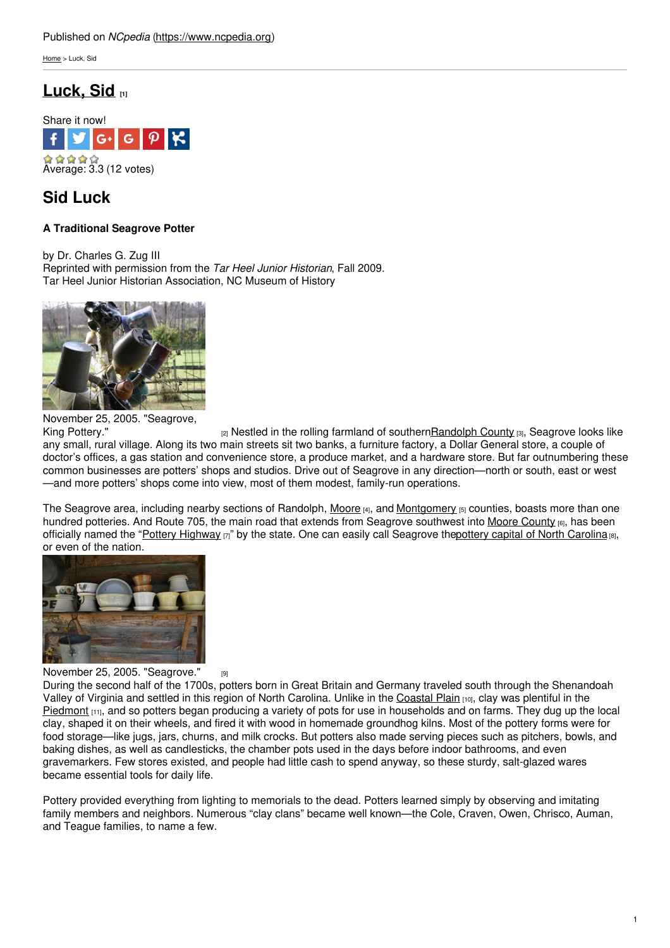[Home](https://www.ncpedia.org/) > Luck, Sid

# **[Luck,](https://www.ncpedia.org/biography/luck-sid) Sid [1]**



## **Sid Luck**

## **A Traditional Seagrove Potter**

by Dr. Charles G. Zug III Reprinted with permission from the *Tar Heel Junior Historian*, Fall 2009. Tar Heel Junior Historian Association, NC Museum of History



November 25, 2005. "Seagrove,

King [Pottery."](https://www.flickr.com/photos/jbweir/66999968/)  $_{[2]}$  Nestled in the rolling farmland of southern Randolph County  $_{[3]}$ , Seagrove looks like any small, rural village. Along its two main streets sit two banks, a furniture factory, a Dollar General store, a couple of doctor's offices, a gas station and convenience store, a produce market, and a hardware store. But far outnumbering these common businesses are potters' shops and studios. Drive out of Seagrove in any direction—north or south, east or west —and more potters' shops come into view, most of them modest, family-run operations.

The Seagrove area, including nearby sections of Randolph, [Moore](https://ncpedia.org/geography/moore)  $H_{1,2}$  and [Montgomery](https://ncpedia.org/geography/montgomery)  $H_{1,3}$  counties, boasts more than one hundred potteries. And Route 705, the main road that extends from Seagrove southwest into Moore [County](https://www.ncpedia.org/geography/moore) (6), has been officially named the "Pottery [Highway](https://www.visitnc.com/trip-idea/pottery-road-scenic-byway)  $[7]$ " by the state. One can easily call Seagrove thepottery capital of North [Carolina](http://www.ncpotterycenter.org/index.htm)  $[8]$ , or even of the nation.



November 25, 2005. ["Seagrove."](https://www.flickr.com/photos/jbweir/66999969/) [9]

During the second half of the 1700s, potters born in Great Britain and Germany traveled south through the Shenandoah Valley of Virginia and settled in this region of North Carolina. Unlike in the [Coastal](https://ncpedia.org/geography/region/coastal-plain) Plain (10), clay was plentiful in the [Piedmont](https://ncpedia.org/geography/region/piedmont)  $_{[11]}$ , and so potters began producing a variety of pots for use in households and on farms. They dug up the local clay, shaped it on their wheels, and fired it with wood in homemade groundhog kilns. Most of the pottery forms were for food storage—like jugs, jars, churns, and milk crocks. But potters also made serving pieces such as pitchers, bowls, and baking dishes, as well as candlesticks, the chamber pots used in the days before indoor bathrooms, and even gravemarkers. Few stores existed, and people had little cash to spend anyway, so these sturdy, salt-glazed wares became essential tools for daily life.

Pottery provided everything from lighting to memorials to the dead. Potters learned simply by observing and imitating family members and neighbors. Numerous "clay clans" became well known—the Cole, Craven, Owen, Chrisco, Auman, and Teague families, to name a few.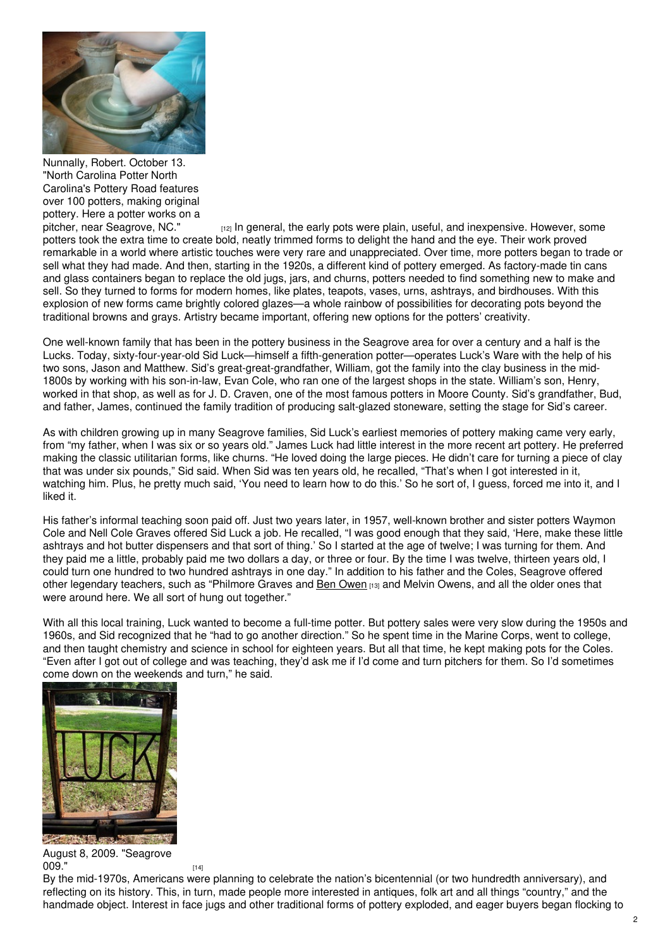

Nunnally, Robert. October 13. "North Carolina Potter North Carolina's Pottery Road features over 100 potters, making original pottery. Here a potter works on a<br>pitcher, near Seagrove, NC."

 $p_1$ <sub>[12]</sub> In general, the early pots were plain, useful, and inexpensive. However, some potters took the extra time to create bold, neatly trimmed forms to delight the hand and the eye. Their work proved remarkable in a world where artistic touches were very rare and unappreciated. Over time, more potters began to trade or sell what they had made. And then, starting in the 1920s, a different kind of pottery emerged. As factory-made tin cans and glass containers began to replace the old jugs, jars, and churns, potters needed to find something new to make and sell. So they turned to forms for modern homes, like plates, teapots, vases, urns, ashtrays, and birdhouses. With this explosion of new forms came brightly colored glazes—a whole rainbow of possibilities for decorating pots beyond the traditional browns and grays. Artistry became important, offering new options for the potters' creativity.

One well-known family that has been in the pottery business in the Seagrove area for over a century and a half is the Lucks. Today, sixty-four-year-old Sid Luck—himself a fifth-generation potter—operates Luck's Ware with the help of his two sons, Jason and Matthew. Sid's great-great-grandfather, William, got the family into the clay business in the mid-1800s by working with his son-in-law, Evan Cole, who ran one of the largest shops in the state. William's son, Henry, worked in that shop, as well as for J. D. Craven, one of the most famous potters in Moore County. Sid's grandfather, Bud, and father, James, continued the family tradition of producing salt-glazed stoneware, setting the stage for Sid's career.

As with children growing up in many Seagrove families, Sid Luck's earliest memories of pottery making came very early, from "my father, when I was six or so years old." James Luck had little interest in the more recent art pottery. He preferred making the classic utilitarian forms, like churns. "He loved doing the large pieces. He didn't care for turning a piece of clay that was under six pounds," Sid said. When Sid was ten years old, he recalled, "That's when I got interested in it, watching him. Plus, he pretty much said, 'You need to learn how to do this.' So he sort of, I guess, forced me into it, and I liked it.

His father's informal teaching soon paid off. Just two years later, in 1957, well-known brother and sister potters Waymon Cole and Nell Cole Graves offered Sid Luck a job. He recalled, "I was good enough that they said, 'Here, make these little ashtrays and hot butter dispensers and that sort of thing.' So I started at the age of twelve; I was turning for them. And they paid me a little, probably paid me two dollars a day, or three or four. By the time I was twelve, thirteen years old, I could turn one hundred to two hundred ashtrays in one day." In addition to his father and the Coles, Seagrove offered other legendary teachers, such as "Philmore Graves and Ben [Owen](https://www.ncpedia.org/biography/owen-benjamin-wade) [13] and Melvin Owens, and all the older ones that were around here. We all sort of hung out together."

With all this local training, Luck wanted to become a full-time potter. But pottery sales were very slow during the 1950s and 1960s, and Sid recognized that he "had to go another direction." So he spent time in the Marine Corps, went to college, and then taught chemistry and science in school for eighteen years. But all that time, he kept making pots for the Coles. "Even after I got out of college and was teaching, they'd ask me if I'd come and turn pitchers for them. So I'd sometimes come down on the weekends and turn," he said.



August 8, 2009. "Seagrove **[009."](https://www.flickr.com/photos/70212490@N00/3808858269/)** [14]

By the mid-1970s, Americans were planning to celebrate the nation's bicentennial (or two hundredth anniversary), and reflecting on its history. This, in turn, made people more interested in antiques, folk art and all things "country," and the handmade object. Interest in face jugs and other traditional forms of pottery exploded, and eager buyers began flocking to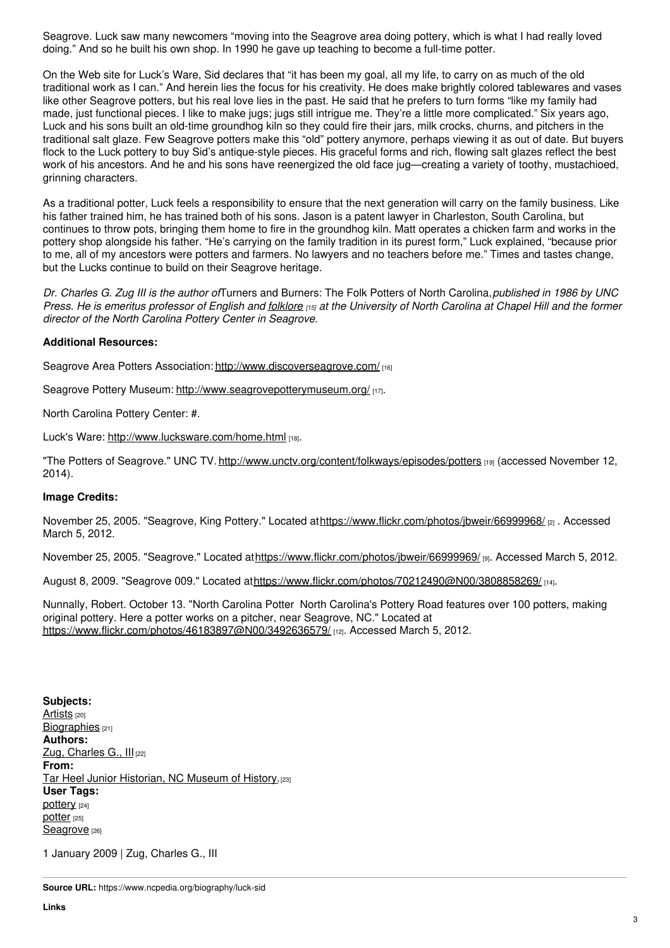Seagrove. Luck saw many newcomers "moving into the Seagrove area doing pottery, which is what I had really loved doing." And so he built his own shop. In 1990 he gave up teaching to become a full-time potter.

On the Web site for Luck's Ware, Sid declares that "it has been my goal, all my life, to carry on as much of the old traditional work as I can." And herein lies the focus for his creativity. He does make brightly colored tablewares and vases like other Seagrove potters, but his real love lies in the past. He said that he prefers to turn forms "like my family had made, just functional pieces. I like to make jugs; jugs still intrigue me. They're a little more complicated." Six years ago, Luck and his sons built an old-time groundhog kiln so they could fire their jars, milk crocks, churns, and pitchers in the traditional salt glaze. Few Seagrove potters make this "old" pottery anymore, perhaps viewing it as out of date. But buyers flock to the Luck pottery to buy Sid's antique-style pieces. His graceful forms and rich, flowing salt glazes reflect the best work of his ancestors. And he and his sons have reenergized the old face jug—creating a variety of toothy, mustachioed, grinning characters.

As a traditional potter, Luck feels a responsibility to ensure that the next generation will carry on the family business. Like his father trained him, he has trained both of his sons. Jason is a patent lawyer in Charleston, South Carolina, but continues to throw pots, bringing them home to fire in the groundhog kiln. Matt operates a chicken farm and works in the pottery shop alongside his father. "He's carrying on the family tradition in its purest form," Luck explained, "because prior to me, all of my ancestors were potters and farmers. No lawyers and no teachers before me." Times and tastes change, but the Lucks continue to build on their Seagrove heritage.

*Dr. Charles G. Zug III is the author of*Turners and Burners: The Folk Potters of North Carolina,*published in 1986 by UNC* Press. He is emeritus professor of English and [folklore](https://www.ncpedia.org/folklore) [15] at the University of North Carolina at Chapel Hill and the former *director of the North Carolina Pottery Center in Seagrove.*

### **Additional Resources:**

Seagrove Area Potters Association: <http://www.discoverseagrove.com/> [16]

Seagrove Pottery Museum: <http://www.seagrovepotterymuseum.org/> [17].

North Carolina Pottery Center: #.

Luck's Ware: <http://www.lucksware.com/home.html> [18].

"The Potters of Seagrove." UNC TV. <http://www.unctv.org/content/folkways/episodes/potters> [19] (accessed November 12, 2014).

#### **Image Credits:**

November 25, 2005. "Seagrove, King Pottery." Located at<https://www.flickr.com/photos/jbweir/66999968/> [2] . Accessed March 5, 2012.

November 25, 2005. "Seagrove." Located at<https://www.flickr.com/photos/jbweir/66999969/> [9]. Accessed March 5, 2012.

August 8, 2009. "Seagrove 009." Located at<https://www.flickr.com/photos/70212490@N00/3808858269/> [14].

Nunnally, Robert. October 13. "North Carolina Potter North Carolina's Pottery Road features over 100 potters, making original pottery. Here a potter works on a pitcher, near Seagrove, NC." Located at <https://www.flickr.com/photos/46183897@N00/3492636579/> [12]. Accessed March 5, 2012.

**Subjects:** [Artists](https://www.ncpedia.org/category/subjects/artist) [20] [Biographies](https://www.ncpedia.org/category/subjects/biography-term) [21] **Authors:** Zug, [Charles](https://www.ncpedia.org/category/authors/zug-iii-charles-g) G., Ill<sub>[22]</sub> **From:** Tar Heel Junior [Historian,](https://www.ncpedia.org/category/entry-source/tar-heel-juni) NC Museum of History.<sup>[23]</sup> **User Tags:** [pottery](https://www.ncpedia.org/category/user-tags/pottery) [24] [potter](https://www.ncpedia.org/category/user-tags/potter) [25] [Seagrove](https://www.ncpedia.org/category/user-tags/seagrove) [26]

1 January 2009 | Zug, Charles G., III